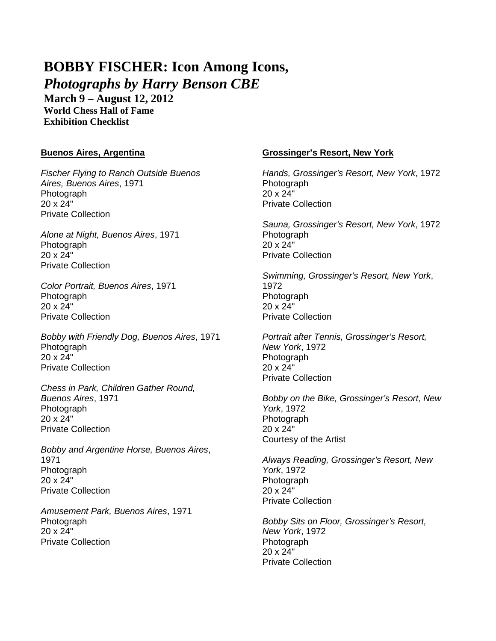# **BOBBY FISCHER: Icon Among Icons,**

*Photographs by Harry Benson CBE*

**March 9 – August 12, 2012 World Chess Hall of Fame Exhibition Checklist**

## **Buenos Aires, Argentina**

*Fischer Flying to Ranch Outside Buenos Aires, Buenos Aires*, 1971 **Photograph** 20 x 24" Private Collection

*Alone at Night, Buenos Aires*, 1971 Photograph 20 x 24" Private Collection

*Color Portrait, Buenos Aires*, 1971 **Photograph** 20 x 24" Private Collection

*Bobby with Friendly Dog, Buenos Aires*, 1971 Photograph 20 x 24" Private Collection

*Chess in Park, Children Gather Round, Buenos Aires*, 1971 Photograph 20 x 24" Private Collection

*Bobby and Argentine Horse, Buenos Aires*, 1971 Photograph 20 x 24" Private Collection

*Amusement Park, Buenos Aires*, 1971 Photograph 20 x 24" Private Collection

## **Grossinger's Resort, New York**

*Hands, Grossinger's Resort, New York*, 1972 **Photograph** 20 x 24" Private Collection

*Sauna, Grossinger's Resort, New York*, 1972 Photograph 20 x 24" Private Collection

*Swimming, Grossinger's Resort, New York*, 1972 Photograph 20 x 24" Private Collection

*Portrait after Tennis, Grossinger's Resort, New York*, 1972 **Photograph** 20 x 24" Private Collection

*Bobby on the Bike, Grossinger's Resort, New York*, 1972 Photograph 20 x 24" Courtesy of the Artist

*Always Reading, Grossinger's Resort, New York*, 1972 Photograph  $20 \times 24$ " Private Collection

*Bobby Sits on Floor, Grossinger's Resort, New York*, 1972 Photograph 20 x 24" Private Collection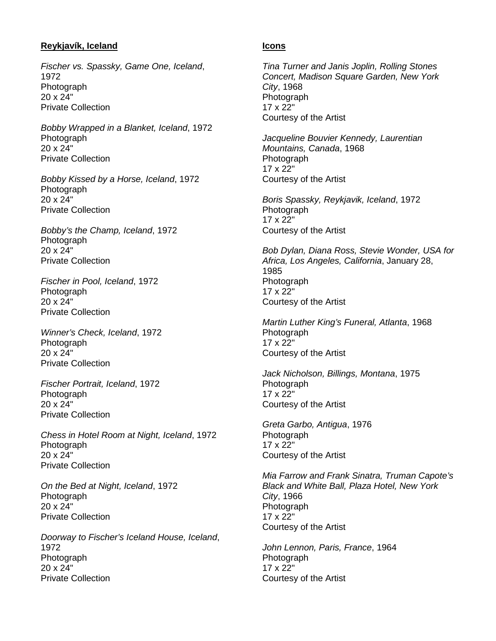## **Reykjavík, Iceland**

*Fischer vs. Spassky, Game One, Iceland*, 1972 Photograph 20 x 24" Private Collection

*Bobby Wrapped in a Blanket, Iceland*, 1972 Photograph 20 x 24" Private Collection

*Bobby Kissed by a Horse, Iceland*, 1972 Photograph 20 x 24" Private Collection

*Bobby's the Champ, Iceland*, 1972 Photograph 20 x 24" Private Collection

*Fischer in Pool, Iceland*, 1972 Photograph 20 x 24" Private Collection

*Winner's Check, Iceland*, 1972 Photograph 20 x 24" Private Collection

*Fischer Portrait, Iceland*, 1972 Photograph 20 x 24" Private Collection

*Chess in Hotel Room at Night, Iceland*, 1972 Photograph 20 x 24" Private Collection

*On the Bed at Night, Iceland*, 1972 Photograph 20 x 24" Private Collection

*Doorway to Fischer's Iceland House, Iceland*, 1972 **Photograph** 20 x 24" Private Collection

#### **Icons**

*Tina Turner and Janis Joplin, Rolling Stones Concert, Madison Square Garden, New York City*, 1968 Photograph 17 x 22" Courtesy of the Artist

*Jacqueline Bouvier Kennedy, Laurentian Mountains, Canada*, 1968 **Photograph** 17 x 22" Courtesy of the Artist

*Boris Spassky, Reykjavik, Iceland*, 1972 Photograph 17 x 22" Courtesy of the Artist

*Bob Dylan, Diana Ross, Stevie Wonder, USA for Africa, Los Angeles, California*, January 28, 1985 Photograph 17 x 22" Courtesy of the Artist

*Martin Luther King's Funeral, Atlanta*, 1968 Photograph 17 x 22" Courtesy of the Artist

*Jack Nicholson, Billings, Montana*, 1975 Photograph 17 x 22" Courtesy of the Artist

*Greta Garbo, Antigua*, 1976 Photograph 17 x 22" Courtesy of the Artist

*Mia Farrow and Frank Sinatra, Truman Capote's Black and White Ball, Plaza Hotel, New York City*, 1966 Photograph 17 x 22" Courtesy of the Artist

*John Lennon, Paris, France*, 1964 **Photograph** 17 x 22" Courtesy of the Artist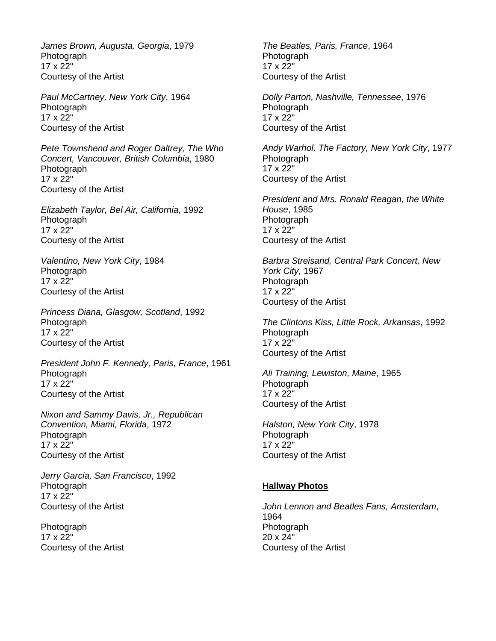*James Brown, Augusta, Georgia*, 1979 Photograph 17 x 22" Courtesy of the Artist

*Paul McCartney, New York City*, 1964 Photograph 17 x 22" Courtesy of the Artist

*Pete Townshend and Roger Daltrey, The Who Concert, Vancouver, British Columbia*, 1980 **Photograph** 17 x 22" Courtesy of the Artist

*Elizabeth Taylor, Bel Air, California*, 1992 **Photograph** 17 x 22" Courtesy of the Artist

*Valentino, New York City*, 1984 Photograph 17 x 22" Courtesy of the Artist

*Princess Diana, Glasgow, Scotland*, 1992 **Photograph** 17 x 22" Courtesy of the Artist

*President John F. Kennedy, Paris, France*, 1961 Photograph 17 x 22" Courtesy of the Artist

*Nixon and Sammy Davis, Jr., Republican Convention, Miami, Florida*, 1972 Photograph 17 x 22" Courtesy of the Artist

*Jerry Garcia, San Francisco*, 1992 **Photograph** 17 x 22" Courtesy of the Artist

**Photograph** 17 x 22" Courtesy of the Artist *The Beatles, Paris, France*, 1964 **Photograph** 17 x 22" Courtesy of the Artist

*Dolly Parton, Nashville, Tennessee*, 1976 Photograph 17 x 22" Courtesy of the Artist

*Andy Warhol, The Factory, New York City*, 1977 **Photograph** 17 x 22" Courtesy of the Artist

*President and Mrs. Ronald Reagan, the White House*, 1985 **Photograph** 17 x 22" Courtesy of the Artist

*Barbra Streisand, Central Park Concert, New York City*, 1967 Photograph 17 x 22" Courtesy of the Artist

*The Clintons Kiss, Little Rock, Arkansas*, 1992 **Photograph** 17 x 22" Courtesy of the Artist

*Ali Training, Lewiston, Maine*, 1965 Photograph 17 x 22" Courtesy of the Artist

*Halston, New York City*, 1978 Photograph 17 x 22" Courtesy of the Artist

#### **Hallway Photos**

*John Lennon and Beatles Fans, Amsterdam*, 1964 Photograph 20 x 24" Courtesy of the Artist